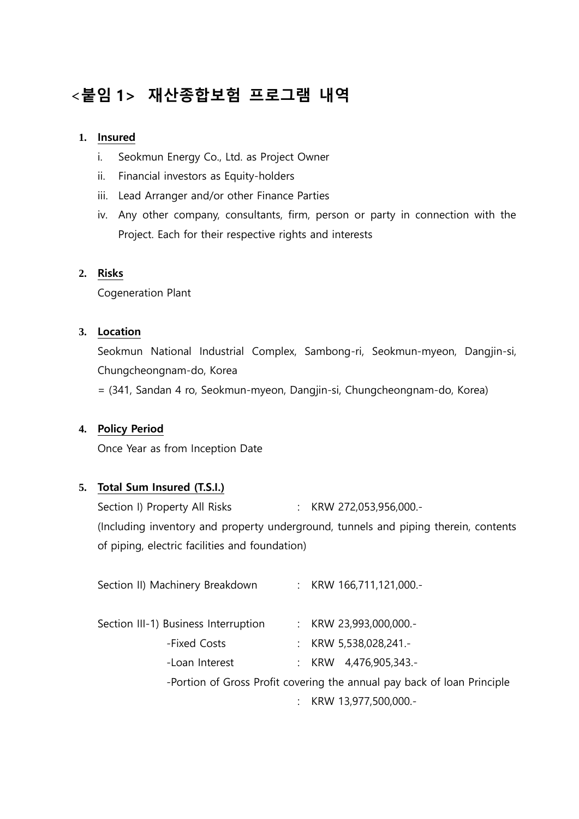# <붙임 1> 재산종합보험 프로그램 내역

### **1.** Insured

- i. Seokmun Energy Co., Ltd. as Project Owner
- ii. Financial investors as Equity-holders
- iii. Lead Arranger and/or other Finance Parties
- iv. Any other company, consultants, firm, person or party in connection with the Project. Each for their respective rights and interests

### **2.** Risks

Cogeneration Plant

#### **3.** Location

Seokmun National Industrial Complex, Sambong-ri, Seokmun-myeon, Dangjin-si, Chungcheongnam-do, Korea

= (341, Sandan 4 ro, Seokmun-myeon, Dangjin-si, Chungcheongnam-do, Korea)

#### **4.** Policy Period

Once Year as from Inception Date

### **5.** Total Sum Insured (T.S.I.)

Section I) Property All Risks : KRW 272,053,956,000.-(Including inventory and property underground, tunnels and piping therein, contents of piping, electric facilities and foundation)

| Section II) Machinery Breakdown      |                                                                         | : KRW 166,711,121,000.- |
|--------------------------------------|-------------------------------------------------------------------------|-------------------------|
| Section III-1) Business Interruption |                                                                         | : KRW 23,993,000,000.-  |
| -Fixed Costs                         |                                                                         | : KRW 5,538,028,241.-   |
| -Loan Interest                       |                                                                         | : KRW $4,476,905,343.$  |
|                                      | -Portion of Gross Profit covering the annual pay back of loan Principle |                         |
|                                      | ÷.                                                                      | KRW 13,977,500,000.-    |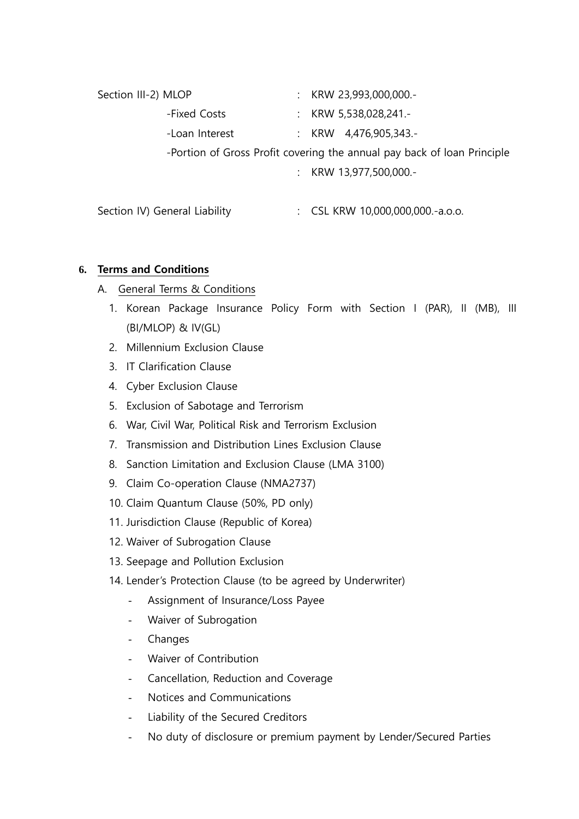| Section III-2) MLOP                                                     |                |  |  | : KRW 23,993,000,000.-                      |  |
|-------------------------------------------------------------------------|----------------|--|--|---------------------------------------------|--|
|                                                                         | -Fixed Costs   |  |  | : KRW 5,538,028,241.-                       |  |
|                                                                         | -Loan Interest |  |  | : KRW $4,476,905,343.$                      |  |
| -Portion of Gross Profit covering the annual pay back of loan Principle |                |  |  |                                             |  |
|                                                                         |                |  |  | KRW 13,977,500,000.-                        |  |
|                                                                         |                |  |  |                                             |  |
| Section IV) General Liability                                           |                |  |  | $\therefore$ CSL KRW 10,000,000,000.-a.o.o. |  |

## **6.** Terms and Conditions

- A. General Terms & Conditions
	- 1. Korean Package Insurance Policy Form with Section I (PAR), II (MB), III (BI/MLOP) & IV(GL)
	- 2. Millennium Exclusion Clause
	- 3. IT Clarification Clause
	- 4. Cyber Exclusion Clause
	- 5. Exclusion of Sabotage and Terrorism
	- 6. War, Civil War, Political Risk and Terrorism Exclusion
	- 7. Transmission and Distribution Lines Exclusion Clause
	- 8. Sanction Limitation and Exclusion Clause (LMA 3100)
	- 9. Claim Co-operation Clause (NMA2737)
	- 10. Claim Quantum Clause (50%, PD only)
	- 11. Jurisdiction Clause (Republic of Korea)
	- 12. Waiver of Subrogation Clause
	- 13. Seepage and Pollution Exclusion
	- 14. Lender's Protection Clause (to be agreed by Underwriter)
		- Assignment of Insurance/Loss Payee
		- Waiver of Subrogation
		- Changes
		- Waiver of Contribution
		- Cancellation, Reduction and Coverage
		- Notices and Communications
		- Liability of the Secured Creditors
		- No duty of disclosure or premium payment by Lender/Secured Parties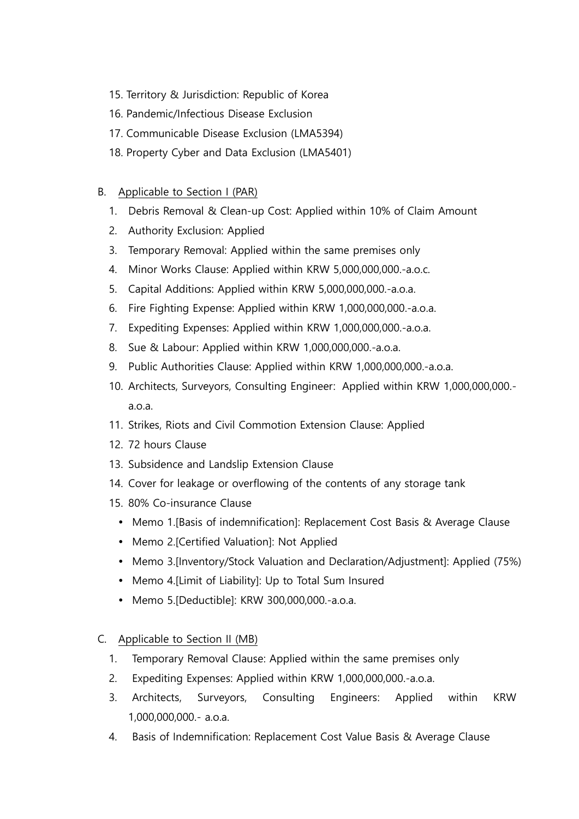- 15. Territory & Jurisdiction: Republic of Korea
- 16. Pandemic/Infectious Disease Exclusion
- 17. Communicable Disease Exclusion (LMA5394)
- 18. Property Cyber and Data Exclusion (LMA5401)

### B. Applicable to Section I (PAR)

- 1. Debris Removal & Clean-up Cost: Applied within 10% of Claim Amount
- 2. Authority Exclusion: Applied
- 3. Temporary Removal: Applied within the same premises only
- 4. Minor Works Clause: Applied within KRW 5,000,000,000.-a.o.c.
- 5. Capital Additions: Applied within KRW 5,000,000,000.-a.o.a.
- 6. Fire Fighting Expense: Applied within KRW 1,000,000,000.-a.o.a.
- 7. Expediting Expenses: Applied within KRW 1,000,000,000.-a.o.a.
- 8. Sue & Labour: Applied within KRW 1,000,000,000.-a.o.a.
- 9. Public Authorities Clause: Applied within KRW 1,000,000,000.-a.o.a.
- 10. Architects, Surveyors, Consulting Engineer: Applied within KRW 1,000,000,000.a.o.a.
- 11. Strikes, Riots and Civil Commotion Extension Clause: Applied
- 12. 72 hours Clause
- 13. Subsidence and Landslip Extension Clause
- 14. Cover for leakage or overflowing of the contents of any storage tank
- 15. 80% Co-insurance Clause
	- Memo 1.[Basis of indemnification]: Replacement Cost Basis & Average Clause
	- Memo 2.[Certified Valuation]: Not Applied
	- Memo 3.[Inventory/Stock Valuation and Declaration/Adjustment]: Applied (75%)
	- Memo 4. [Limit of Liability]: Up to Total Sum Insured
	- Memo 5.[Deductible]: KRW 300,000,000.-a.o.a.

### C. Applicable to Section II (MB)

- 1. Temporary Removal Clause: Applied within the same premises only
- 2. Expediting Expenses: Applied within KRW 1,000,000,000.-a.o.a.
- 3. Architects, Surveyors, Consulting Engineers: Applied within KRW 1,000,000,000.- a.o.a.
- 4. Basis of Indemnification: Replacement Cost Value Basis & Average Clause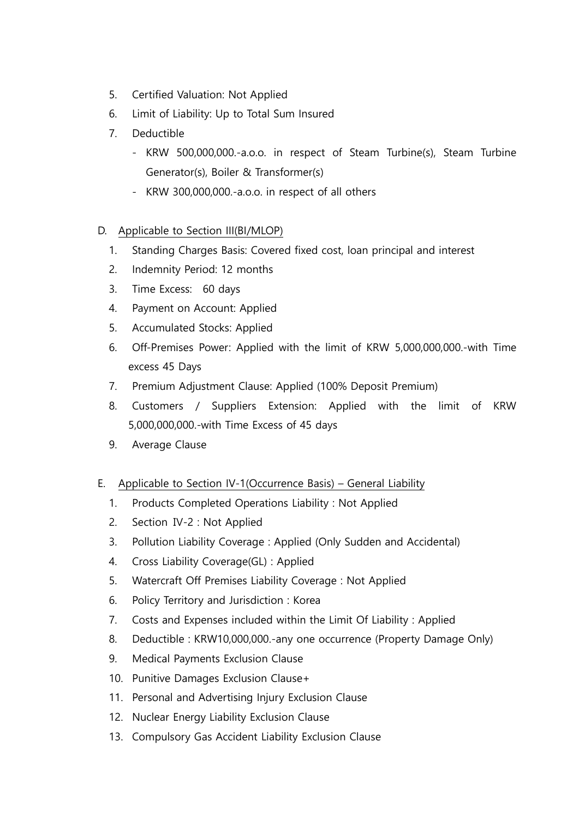- 5. Certified Valuation: Not Applied
- 6. Limit of Liability: Up to Total Sum Insured
- 7. Deductible
	- KRW 500,000,000.-a.o.o. in respect of Steam Turbine(s), Steam Turbine Generator(s), Boiler & Transformer(s)
	- KRW 300,000,000.-a.o.o. in respect of all others

# D. Applicable to Section III(BI/MLOP)

- 1. Standing Charges Basis: Covered fixed cost, loan principal and interest
- 2. Indemnity Period: 12 months
- 3. Time Excess: 60 days
- 4. Payment on Account: Applied
- 5. Accumulated Stocks: Applied
- 6. Off-Premises Power: Applied with the limit of KRW 5,000,000,000.-with Time excess 45 Days
- 7. Premium Adjustment Clause: Applied (100% Deposit Premium)
- 8. Customers / Suppliers Extension: Applied with the limit of KRW 5,000,000,000.-with Time Excess of 45 days
- 9. Average Clause

# E. Applicable to Section IV-1(Occurrence Basis) – General Liability

- 1. Products Completed Operations Liability : Not Applied
- 2. Section Ⅳ-2 : Not Applied
- 3. Pollution Liability Coverage : Applied (Only Sudden and Accidental)
- 4. Cross Liability Coverage(GL) : Applied
- 5. Watercraft Off Premises Liability Coverage : Not Applied
- 6. Policy Territory and Jurisdiction : Korea
- 7. Costs and Expenses included within the Limit Of Liability : Applied
- 8. Deductible : KRW10,000,000.-any one occurrence (Property Damage Only)
- 9. Medical Payments Exclusion Clause
- 10. Punitive Damages Exclusion Clause+
- 11. Personal and Advertising Injury Exclusion Clause
- 12. Nuclear Energy Liability Exclusion Clause
- 13. Compulsory Gas Accident Liability Exclusion Clause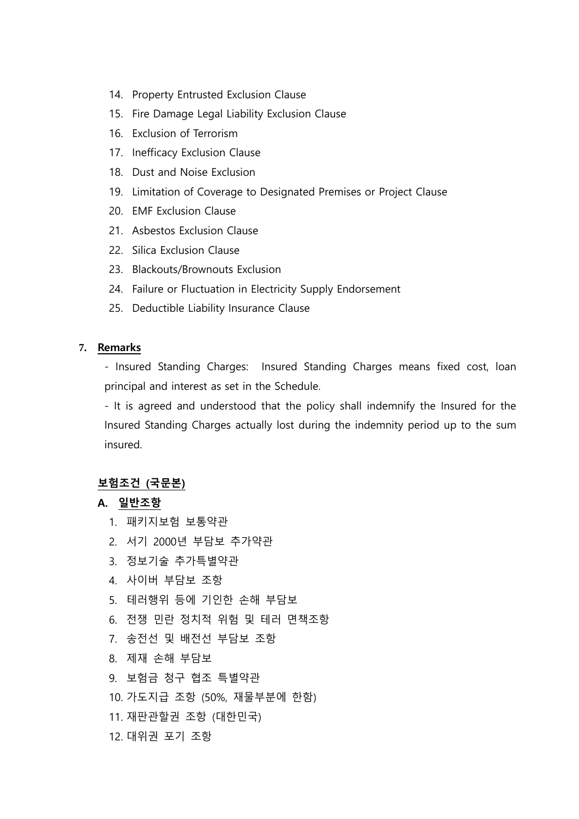- 14. Property Entrusted Exclusion Clause
- 15. Fire Damage Legal Liability Exclusion Clause
- 16. Exclusion of Terrorism
- 17. Inefficacy Exclusion Clause
- 18. Dust and Noise Exclusion
- 19. Limitation of Coverage to Designated Premises or Project Clause
- 20. EMF Exclusion Clause
- 21. Asbestos Exclusion Clause
- 22. Silica Exclusion Clause
- 23. Blackouts/Brownouts Exclusion
- 24. Failure or Fluctuation in Electricity Supply Endorsement
- 25. Deductible Liability Insurance Clause

#### **7.** Remarks

- Insured Standing Charges: Insured Standing Charges means fixed cost, loan principal and interest as set in the Schedule.

- It is agreed and understood that the policy shall indemnify the Insured for the Insured Standing Charges actually lost during the indemnity period up to the sum insured.

# 보험조건 (국문본)

### A. 일반조항

- 1. 패키지보험 보통약관
- 2. 서기 2000년 부담보 추가약관
- 3. 정보기술 추가특별약관
- 4. 사이버 부담보 조항
- 5. 테러행위 등에 기인한 손해 부담보
- 6. 전쟁 민란 정치적 위험 및 테러 면책조항
- 7. 송전선 및 배전선 부담보 조항
- 8. 제재 손해 부담보
- 9. 보험금 청구 협조 특별약관
- 10. 가도지급 조항 (50%, 재물부분에 한함)
- 11. 재판관할권 조항 (대한민국)
- 12. 대위권 포기 조항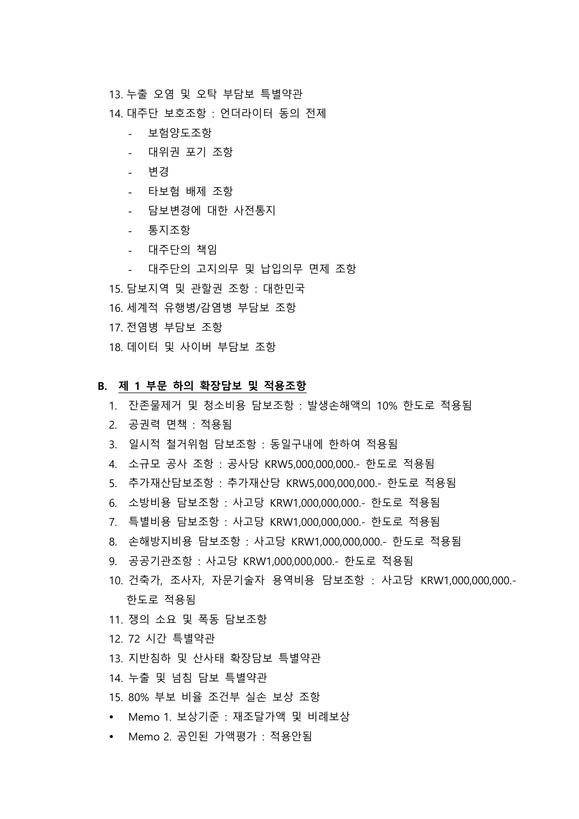13. 누출 오염 및 오탁 부담보 특별약관

14. 대주단 보호조항 : 언더라이터 동의 전제

- 보험양도조항
- 대위권 포기 조항
- 변경
- 타보험 배제 조항
- 담보변경에 대한 사전통지
- 통지조항
- 대주단의 책임
- 대주단의 고지의무 및 납입의무 면제 조항
- 15. 담보지역 및 관할권 조항 : 대한민국
- 16. 세계적 유행병/감염병 부담보 조항
- 17. 전염병 부담보 조항
- 18. 데이터 및 사이버 부담보 조항

#### B. 제 1 부문 하의 확장담보 및 적용조항

- 1. 잔존물제거 및 청소비용 담보조항 : 발생손해액의 10% 한도로 적용됨
- 2. 공권력 면책 : 적용됨
- 3. 일시적 철거위험 담보조항 : 동일구내에 한하여 적용됨
- 4. 소규모 공사 조항 : 공사당 KRW5,000,000,000.- 한도로 적용됨
- 5. 추가재산담보조항 : 추가재산당 KRW5,000,000,000.- 한도로 적용됨
- 6. 소방비용 담보조항 : 사고당 KRW1,000,000,000.- 한도로 적용됨
- 7. 특별비용 담보조항 : 사고당 KRW1,000,000,000.- 한도로 적용됨
- 8. 손해방지비용 담보조항 : 사고당 KRW1,000,000,000.- 한도로 적용됨
- 9. 공공기관조항 : 사고당 KRW1,000,000,000.- 한도로 적용됨
- 10. 건축가, 조사자, 자문기술자 용역비용 담보조항 : 사고당 KRW1,000,000,000.- 한도로 적용됨
- 11. 쟁의 소요 및 폭동 담보조항
- 12. 72 시간 특별약관
- 13. 지반침하 및 산사태 확장담보 특별약관
- 14. 누출 및 넘침 담보 특별약관
- 15. 80% 부보 비율 조건부 실손 보상 조항
- Memo 1. 보상기준 : 재조달가액 및 비례보상
- Memo 2. 공인된 가액평가 : 적용안됨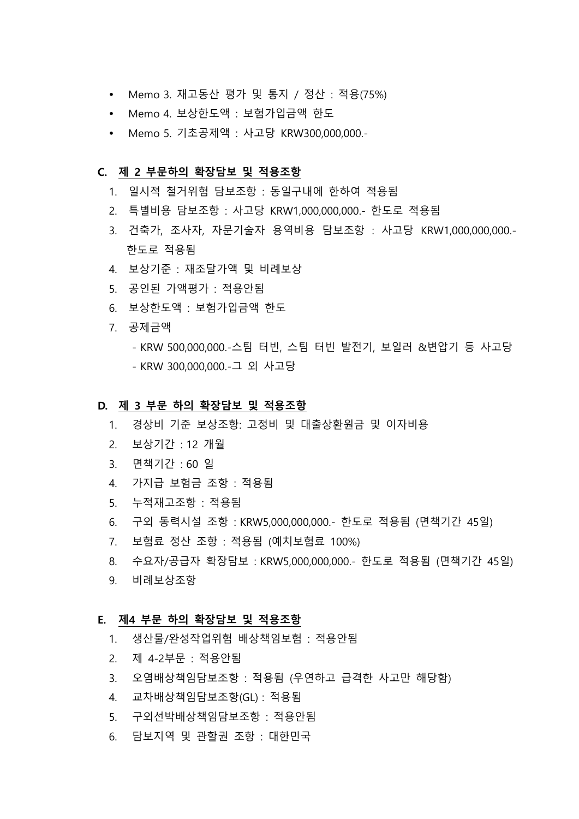- Memo 3. 재고동산 평가 및 통지 / 정산 : 적용(75%)
- Memo 4. 보상한도액 : 보험가입금액 한도
- Memo 5. 기초공제액 : 사고당 KRW300,000,000.-

#### C. 제 2 부문하의 확장담보 및 적용조항

- 1. 일시적 철거위험 담보조항 : 동일구내에 한하여 적용됨
- 2. 특별비용 담보조항 : 사고당 KRW1,000,000,000.- 한도로 적용됨
- 3. 건축가, 조사자, 자문기술자 용역비용 담보조항 : 사고당 KRW1,000,000,000.- 한도로 적용됨
- 4. 보상기준 : 재조달가액 및 비례보상
- 5. 공인된 가액평가 : 적용안됨
- 6. 보상한도액 : 보험가입금액 한도
- 7. 공제금액
	- KRW 500,000,000.-스팀 터빈, 스팀 터빈 발전기, 보일러 &변압기 등 사고당 - KRW 300,000,000.-그 외 사고당

#### D. 제 3 부문 하의 확장담보 및 적용조항

- 1. 경상비 기준 보상조항: 고정비 및 대출상환원금 및 이자비용
- 2. 보상기간 : 12 개월
- 3. 면책기간 : 60 일
- 4. 가지급 보험금 조항 : 적용됨
- 5. 누적재고조항 : 적용됨
- 6. 구외 동력시설 조항 : KRW5,000,000,000.- 한도로 적용됨 (면책기간 45일)
- 7. 보험료 정산 조항 : 적용됨 (예치보험료 100%)
- 8. 수요자/공급자 확장담보 : KRW5,000,000,000.- 한도로 적용됨 (면책기간 45일)
- 9. 비례보상조항

#### E. 제4 부문 하의 확장담보 및 적용조항

- 1. 생산물/완성작업위험 배상책임보험 : 적용안됨
- 2. 제 4-2부문 : 적용안됨
- 3. 오염배상책임담보조항 : 적용됨 (우연하고 급격한 사고만 해당함)
- 4. 교차배상책임담보조항(GL) : 적용됨
- 5. 구외선박배상책임담보조항 : 적용안됨
- 6. 담보지역 및 관할권 조항 : 대한민국